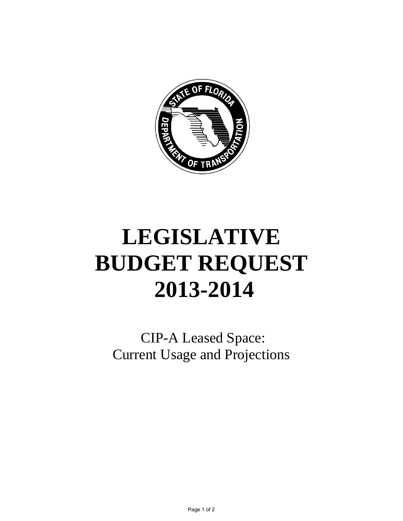

## **LEGISLATIVE BUDGET REQUEST 2013-2014**

CIP-A Leased Space: Current Usage and Projections